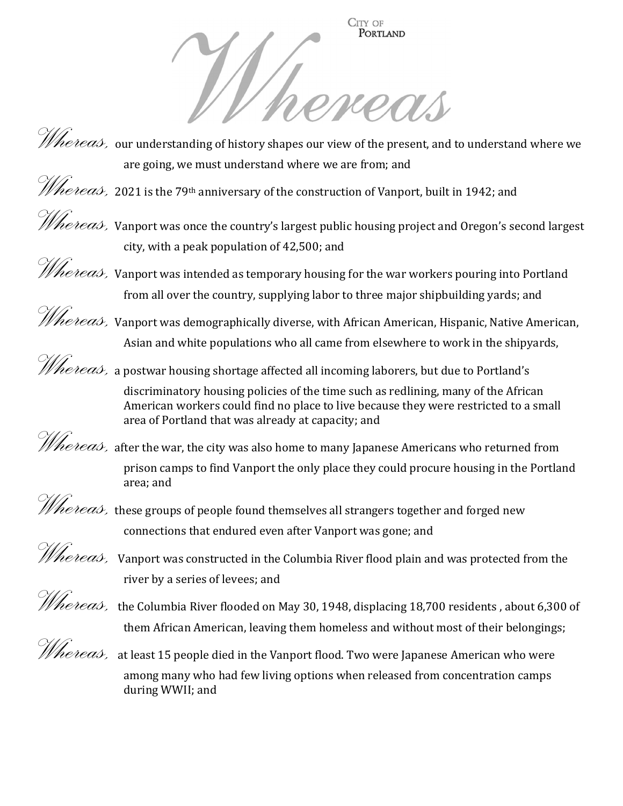CITY OF PORTLAND



*Whereas,* 2021 is the 79<sup>th</sup> anniversary of the construction of Vanport, built in 1942; and



*Whereas, Vanport was once the country's largest public housing project and Oregon's second largest* city, with a peak population of 42,500; and



*Whereas,* Vanport was intended as temporary housing for the war workers pouring into Portland from all over the country, supplying labor to three major shipbuilding yards; and

 $\mathscr{H}$ he $\emph{teas}$  Vanport was demographically diverse, with African American, Hispanic, Native American, Asian and white populations who all came from elsewhere to work in the shipyards,

 $\mathscr{The}$ eas, a postwar housing shortage affected all incoming laborers, but due to Portland's

discriminatory housing policies of the time such as redlining, many of the African American workers could find no place to live because they were restricted to a small area of Portland that was already at capacity; and

*Whereas*, after the war, the city was also home to many Japanese Americans who returned from prison camps to find Vanport the only place they could procure housing in the Portland area; and

*Whereas*, these groups of people found themselves all strangers together and forged new connections that endured even after Vanport was gone; and

*Whereas,* Vanport was constructed in the Columbia River flood plain and was protected from the river by a series of levees; and

Whereas, the Columbia River flooded on May 30, 1948, displacing 18,700 residents, about 6,300 of them African American, leaving them homeless and without most of their belongings;

Whereas, at least 15 people died in the Vanport flood. Two were Japanese American who were among many who had few living options when released from concentration camps during WWII; and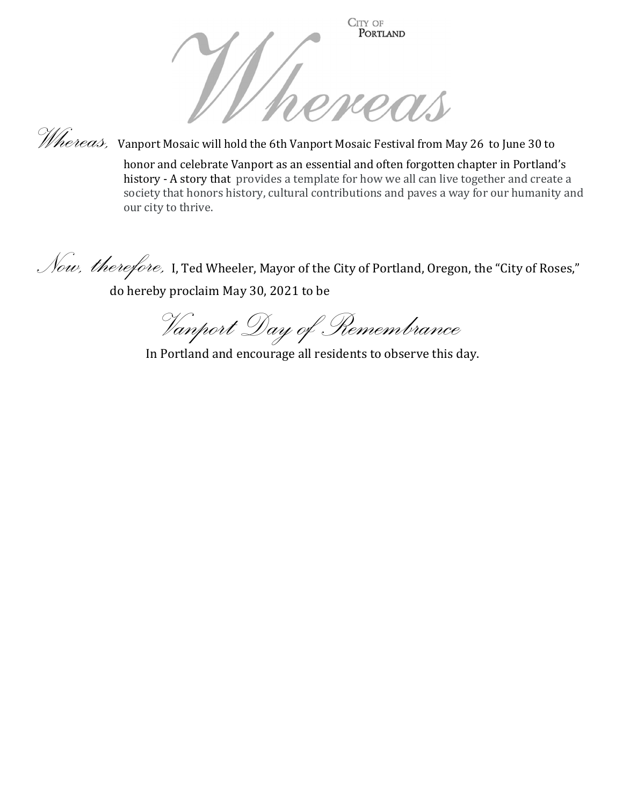



Whereas, Vanport Mosaic will hold the 6th Vanport Mosaic Festival from May 26 to June 30 to

honor and celebrate Vanport as an essential and often forgotten chapter in Portland's history - A story that provides a template for how we all can live together and create a society that honors history, cultural contributions and paves a way for our humanity and our city to thrive.

Now, therefore, I, Ted Wheeler, Mayor of the City of Portland, Oregon, the "City of Roses," do hereby proclaim May 30, 2021 to be

Vanport Day of Remembrance

In Portland and encourage all residents to observe this day.